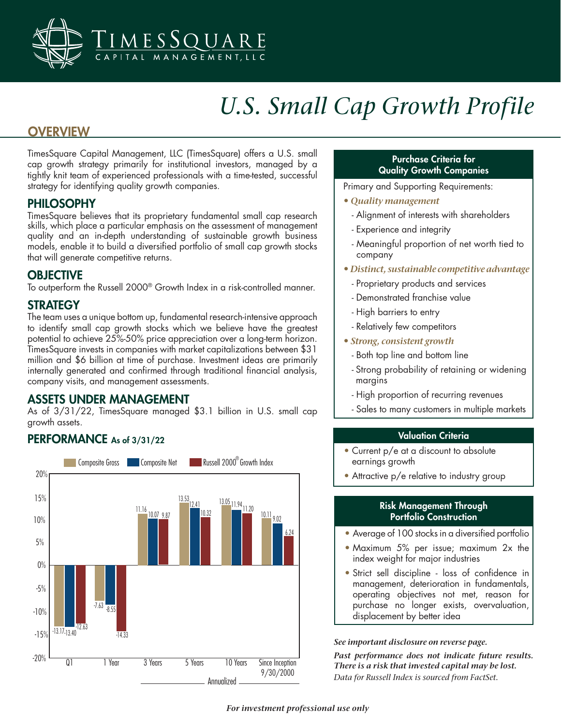

# *U.S. Small Cap Growth Profile*

## **OVERVIEW**

TimesSquare Capital Management, LLC (TimesSquare) offers a U.S. small cap growth strategy primarily for institutional investors, managed by a tightly knit team of experienced professionals with a time-tested, successful strategy for identifying quality growth companies.

### PHILOSOPHY

TimesSquare believes that its proprietary fundamental small cap research skills, which place a particular emphasis on the assessment of management quality and an in-depth understanding of sustainable growth business models, enable it to build a diversified portfolio of small cap growth stocks that will generate competitive returns.

## **OBJECTIVE**

To outperform the Russell 2000® Growth Index in a risk-controlled manner.

## **STRATEGY**

The team uses a unique bottom up, fundamental research-intensive approach to identify small cap growth stocks which we believe have the greatest potential to achieve 25%-50% price appreciation over a long-term horizon. TimesSquare invests in companies with market capitalizations between \$31 million and \$6 billion at time of purchase. Investment ideas are primarily internally generated and confirmed through traditional financial analysis, company visits, and management assessments.

## ASSETS UNDER MANAGEMENT

As of 3/31/22, TimesSquare managed \$3.1 billion in U.S. small cap growth assets.

## PERFORMANCE As of 3/31/22



#### Purchase Criteria for Quality Growth Companies

Primary and Supporting Requirements:

- • *Quality management*
	- Alignment of interests with shareholders
	- Experience and integrity
	- Meaningful proportion of net worth tied to company
- • *Distinct, sustainable competitive advantage*
	- Proprietary products and services
	- Demonstrated franchise value
	- High barriers to entry
	- Relatively few competitors
- • *Strong, consistent growth*
	- Both top line and bottom line
	- Strong probability of retaining or widening margins
	- High proportion of recurring revenues
	- Sales to many customers in multiple markets

#### Valuation Criteria

- Current p/e at a discount to absolute earnings growth
- Attractive p/e relative to industry group

#### Risk Management Through Portfolio Construction

- Average of 100 stocks in a diversified portfolio
- Maximum 5% per issue; maximum 2x the index weight for major industries
- Strict sell discipline loss of confidence in management, deterioration in fundamentals, operating objectives not met, reason for purchase no longer exists, overvaluation, displacement by better idea

#### *See important disclosure on reverse page.*

*Past performance does not indicate future results. There is a risk that invested capital may be lost. Data for Russell Index is sourced from FactSet.*